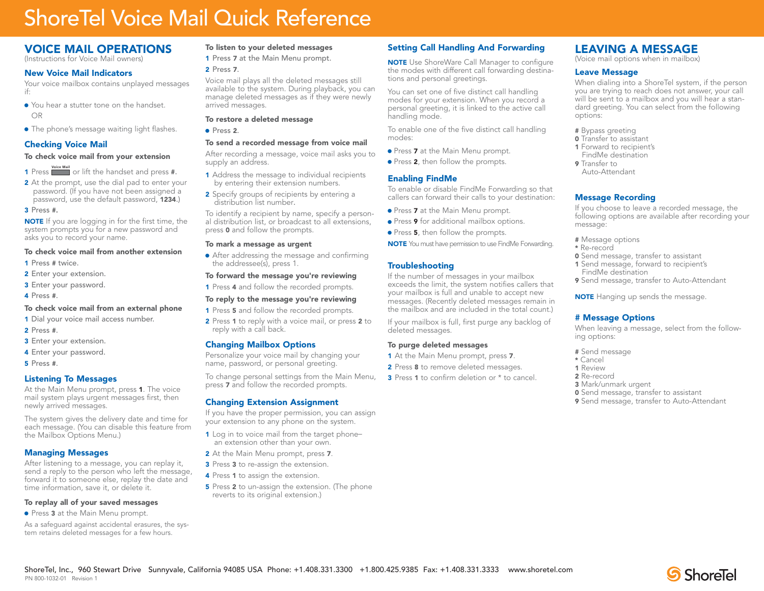## ShoreTel Voice Mail Quick Reference

## VOICE MAIL OPERATIONS

(Instructions for Voice Mail owners)

#### New Voice Mail Indicators

Your voice mailbox contains unplayed messages if:

- You hear a stutter tone on the handset. OR
- The phone's message waiting light flashes.

## Checking Voice Mail

#### To check voice mail from your extension

- 1 Press **Voice Mail** or lift the handset and press #.
- 2 At the prompt, use the dial pad to enter your password. (If you have not been assigned a password, use the default password, 1234.)

#### 3 Press #.

NOTE If you are logging in for the first time, the system prompts you for a new password and asks you to record your name.

#### To check voice mail from another extension

- 1 Press # twice.
- 2 Enter your extension.
- 3 Enter your password.
- 4 Press #.

#### To check voice mail from an external phone

- 1 Dial your voice mail access number.
- 2 Press #.
- 3 Enter your extension.
- 4 Enter your password.
- 5 Press #.

## Listening To Messages

At the Main Menu prompt, press 1. The voice mail system plays urgent messages first, then newly arrived messages.

The system gives the delivery date and time for each message. (You can disable this feature from the Mailbox Options Menu.)

## Managing Messages

PN 800-1032-01 Revision 1

After listening to a message, you can replay it, send a reply to the person who left the message, forward it to someone else, replay the date and time information, save it, or delete it.

#### To replay all of your saved messages

• Press 3 at the Main Menu prompt.

As a safeguard against accidental erasures, the system retains deleted messages for a few hours.

### To listen to your deleted messages

1 Press 7 at the Main Menu prompt.

#### 2 Press 7.

Voice mail plays all the deleted messages still available to the system. During playback, you can manage deleted messages as if they were newly arrived messages.

#### To restore a deleted message

**.** Press 2.

#### To send a recorded message from voice mail

After recording a message, voice mail asks you to supply an address.

- **1** Address the message to individual recipients by entering their extension numbers.
- 2 Specify groups of recipients by entering a distribution list number.

To identify a recipient by name, specify a personal distribution list, or broadcast to all extensions, press 0 and follow the prompts.

#### To mark a message as urgent

• After addressing the message and confirming the addressee(s), press 1.

#### To forward the message you're reviewing

1 Press 4 and follow the recorded prompts.

#### To reply to the message you're reviewing

- 1 Press 5 and follow the recorded prompts.
- 2 Press 1 to reply with a voice mail, or press 2 to reply with a call back.

#### Changing Mailbox Options

Personalize your voice mail by changing your name, password, or personal greeting.

To change personal settings from the Main Menu, press 7 and follow the recorded prompts.

#### Changing Extension Assignment

If you have the proper permission, you can assign your extension to any phone on the system.

- 1 Log in to voice mail from the target phonean extension other than your own.
- 2 At the Main Menu prompt, press 7.
- **3** Press **3** to re-assign the extension.
- 4 Press 1 to assign the extension.
- 5 Press 2 to un-assign the extension. (The phone reverts to its original extension.)

ShoreTel, Inc., 960 Stewart Drive Sunnyvale, California 94085 USA Phone: +1.408.331.3300 +1.800.425.9385 Fax: +1.408.331.3333 www.shoretel.com

## Setting Call Handling And Forwarding

**NOTE** Use ShoreWare Call Manager to configure the modes with different call forwarding destinations and personal greetings.

You can set one of five distinct call handling modes for your extension. When you record a personal greeting, it is linked to the active call handling mode.

To enable one of the five distinct call handling modes:

- Press 7 at the Main Menu prompt.
- Press 2, then follow the prompts.

#### Enabling FindMe

To enable or disable FindMe Forwarding so that callers can forward their calls to your destination:

- **Press 7 at the Main Menu prompt.**
- **.** Press 9 for additional mailbox options.
- Press 5, then follow the prompts.
- NOTE You must have permission to use FindMe Forwarding.

## Troubleshooting

If the number of messages in your mailbox exceeds the limit, the system notifies callers that your mailbox is full and unable to accept new messages. (Recently deleted messages remain in the mailbox and are included in the total count.)

If your mailbox is full, first purge any backlog of deleted messages.

#### To purge deleted messages

- 1 At the Main Menu prompt, press 7.
- 2 Press 8 to remove deleted messages.
- 3 Press 1 to confirm deletion or  $*$  to cancel.

## LEAVING A MESSAGE

(Voice mail options when in mailbox)

#### Leave Message

When dialing into a ShoreTel system, if the person you are trying to reach does not answer, your call will be sent to a mailbox and you will hear a standard greeting. You can select from the following options:

- # Bypass greeting
- **0** Transfer to assistant
- 1 Forward to recipient's FindMe destination
- 9 Transfer to Auto-Attendant

#### Message Recording

If you choose to leave a recorded message, the following options are available after recording your message:

- # Message options
- \* Re-record
- **0** Send message, transfer to assistant 1 Send message, forward to recipient's
- FindMe destination
- 9 Send message, transfer to Auto-Attendant

**NOTE** Hanging up sends the message.

**0** Send message, transfer to assistant **9** Send message, transfer to Auto-Attendant

#### # Message Options

When leaving a message, select from the following options:

**S** ShoreTel

# Send message

3 Mark/unmark urgent

- \* Cancel
- 1 Review 2 Re-record